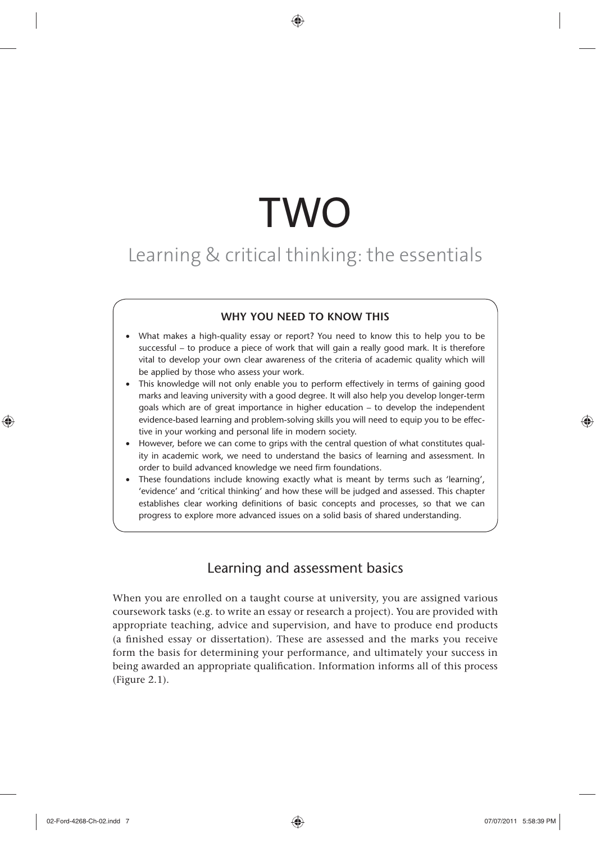# TWO

♠

### Learning & critical thinking: the essentials

#### **WHY YOU NEED TO KNOW THIS**

- v What makes a high-quality essay or report? You need to know this to help you to be successful – to produce a piece of work that will gain a really good mark. It is therefore vital to develop your own clear awareness of the criteria of academic quality which will be applied by those who assess your work.
- This knowledge will not only enable you to perform effectively in terms of gaining good marks and leaving university with a good degree. It will also help you develop longer-term goals which are of great importance in higher education – to develop the independent evidence-based learning and problem-solving skills you will need to equip you to be effective in your working and personal life in modern society.
- However, before we can come to grips with the central question of what constitutes quality in academic work, we need to understand the basics of learning and assessment. In order to build advanced knowledge we need firm foundations.
- These foundations include knowing exactly what is meant by terms such as 'learning', 'evidence' and 'critical thinking' and how these will be judged and assessed. This chapter establishes clear working definitions of basic concepts and processes, so that we can progress to explore more advanced issues on a solid basis of shared understanding.

#### Learning and assessment basics

When you are enrolled on a taught course at university, you are assigned various coursework tasks (e.g. to write an essay or research a project). You are provided with appropriate teaching, advice and supervision, and have to produce end products (a finished essay or dissertation). These are assessed and the marks you receive form the basis for determining your performance, and ultimately your success in being awarded an appropriate qualification. Information informs all of this process (Figure 2.1).

♠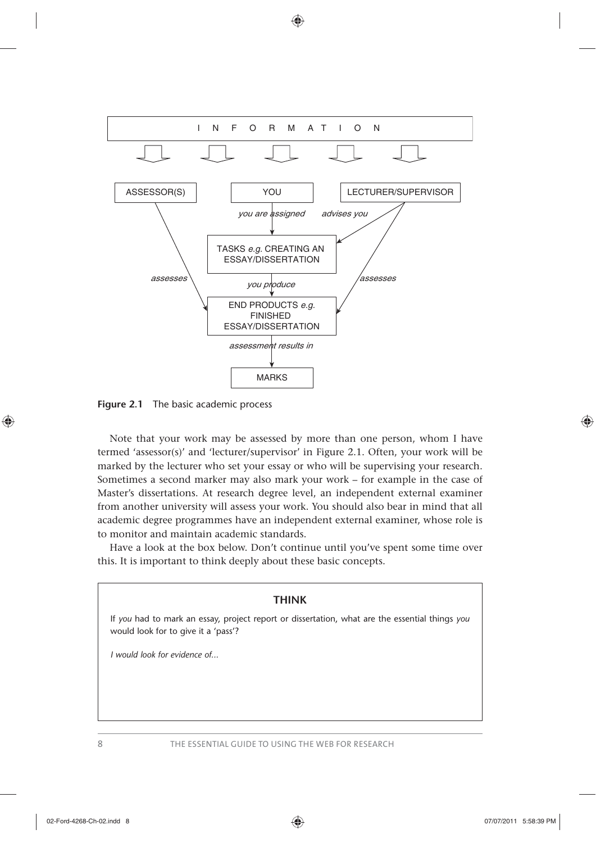

**Figure 2.1** The basic academic process

Note that your work may be assessed by more than one person, whom I have termed 'assessor(s)' and 'lecturer/supervisor' in Figure 2.1. Often, your work will be marked by the lecturer who set your essay or who will be supervising your research. Sometimes a second marker may also mark your work – for example in the case of Master's dissertations. At research degree level, an independent external examiner from another university will assess your work. You should also bear in mind that all academic degree programmes have an independent external examiner, whose role is to monitor and maintain academic standards.

Have a look at the box below. Don't continue until you've spent some time over this. It is important to think deeply about these basic concepts.

## **THINK** If *you* had to mark an essay, project report or dissertation, what are the essential things *you* would look for to give it a 'pass'? *I would look for evidence of...*

◈

8 THE ESSENTIAL GUIDE TO USING THE WEB FOR RESEARCH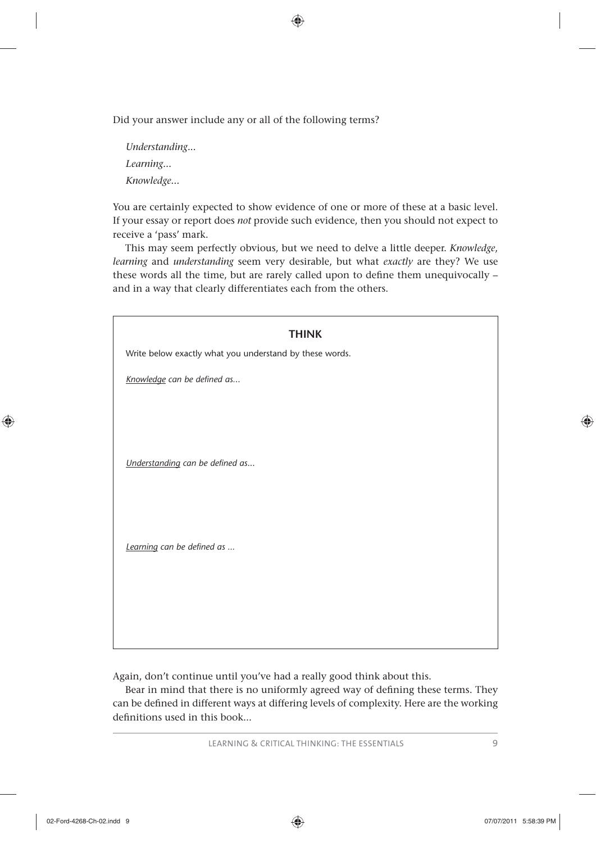Did your answer include any or all of the following terms?

*Understanding... Learning... Knowledge...* 

You are certainly expected to show evidence of one or more of these at a basic level. If your essay or report does *not* provide such evidence, then you should not expect to receive a 'pass' mark.

♠

This may seem perfectly obvious, but we need to delve a little deeper. *Knowledge*, *learning* and *understanding* seem very desirable, but what *exactly* are they? We use these words all the time, but are rarely called upon to define them unequivocally – and in a way that clearly differentiates each from the others.

| <b>THINK</b>                                            |
|---------------------------------------------------------|
| Write below exactly what you understand by these words. |
| Knowledge can be defined as                             |
|                                                         |
|                                                         |
| Understanding can be defined as                         |
|                                                         |
|                                                         |
| Learning can be defined as                              |
|                                                         |
|                                                         |
|                                                         |
|                                                         |

Again, don't continue until you've had a really good think about this.

Bear in mind that there is no uniformly agreed way of defining these terms. They can be defined in different ways at differing levels of complexity. Here are the working definitions used in this book...

LEARNING & CRITICAL THINKING: THE ESSENTIALS 9

◈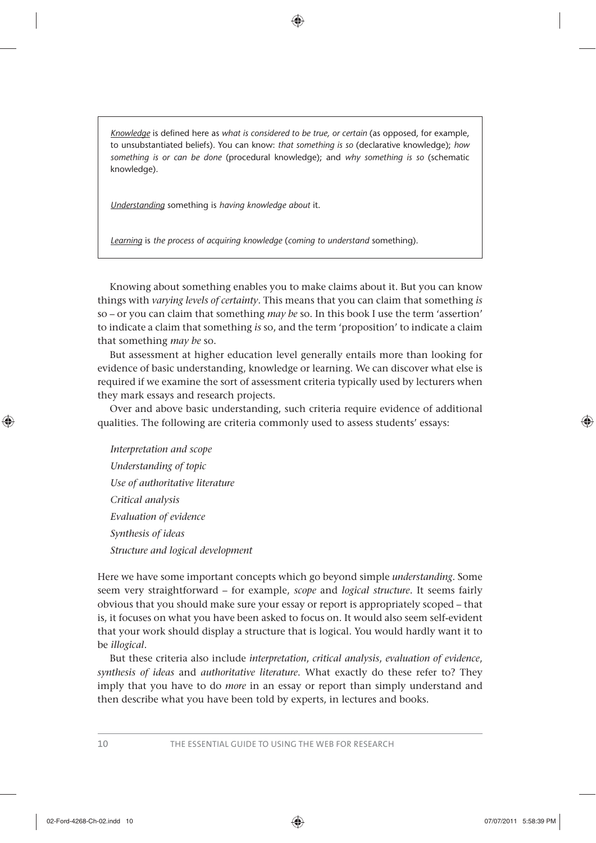*Knowledge* is defined here as *what is considered to be true, or certain* (as opposed, for example, to unsubstantiated beliefs). You can know: *that something is so* (declarative knowledge); *how something is or can be done* (procedural knowledge); and *why something is so* (schematic knowledge).

*Understanding* something is *having knowledge about* it.

*Learning* is *the process of acquiring knowledge* (*coming to understand* something).

Knowing about something enables you to make claims about it. But you can know things with *varying levels of certainty*. This means that you can claim that something *is* so – or you can claim that something *may be* so. In this book I use the term 'assertion' to indicate a claim that something *is* so, and the term 'proposition' to indicate a claim that something *may be* so.

But assessment at higher education level generally entails more than looking for evidence of basic understanding, knowledge or learning. We can discover what else is required if we examine the sort of assessment criteria typically used by lecturers when they mark essays and research projects.

Over and above basic understanding, such criteria require evidence of additional qualities. The following are criteria commonly used to assess students' essays:

*Interpretation and scope Understanding of topic Use of authoritative literature Critical analysis Evaluation of evidence Synthesis of ideas Structure and logical development* 

Here we have some important concepts which go beyond simple *understanding*. Some seem very straightforward – for example, *scope* and *logical structure*. It seems fairly obvious that you should make sure your essay or report is appropriately scoped – that is, it focuses on what you have been asked to focus on. It would also seem self-evident that your work should display a structure that is logical. You would hardly want it to be *illogical*.

But these criteria also include *interpretation*, *critical analysis*, *evaluation of evidence*, *synthesis of ideas* and *authoritative literature*. What exactly do these refer to? They imply that you have to do *more* in an essay or report than simply understand and then describe what you have been told by experts, in lectures and books.

◈

10 THE ESSENTIAL GUIDE TO USING THE WEB FOR RESEARCH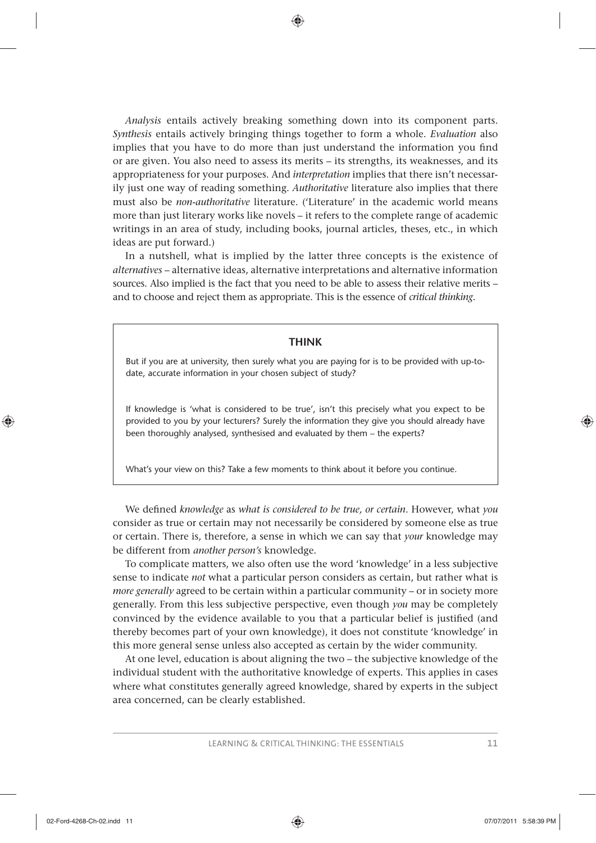*Analysis* entails actively breaking something down into its component parts. *Synthesis* entails actively bringing things together to form a whole. *Evaluation* also implies that you have to do more than just understand the information you find or are given. You also need to assess its merits – its strengths, its weaknesses, and its appropriateness for your purposes. And *interpretation* implies that there isn't necessarily just one way of reading something. *Authoritative* literature also implies that there must also be *non-authoritative* literature. ('Literature' in the academic world means more than just literary works like novels – it refers to the complete range of academic writings in an area of study, including books, journal articles, theses, etc., in which ideas are put forward.)

In a nutshell, what is implied by the latter three concepts is the existence of *alternatives* – alternative ideas, alternative interpretations and alternative information sources. Also implied is the fact that you need to be able to assess their relative merits – and to choose and reject them as appropriate. This is the essence of *critical thinking*.

#### **THINK**

But if you are at university, then surely what you are paying for is to be provided with up-todate, accurate information in your chosen subject of study?

If knowledge is 'what is considered to be true', isn't this precisely what you expect to be provided to you by your lecturers? Surely the information they give you should already have been thoroughly analysed, synthesised and evaluated by them – the experts?

What's your view on this? Take a few moments to think about it before you continue.

We defined *knowledge* as *what is considered to be true, or certain*. However, what *you* consider as true or certain may not necessarily be considered by someone else as true or certain. There is, therefore, a sense in which we can say that *your* knowledge may be different from *another person's* knowledge.

To complicate matters, we also often use the word 'knowledge' in a less subjective sense to indicate *not* what a particular person considers as certain, but rather what is *more generally* agreed to be certain within a particular community – or in society more generally. From this less subjective perspective, even though *you* may be completely convinced by the evidence available to you that a particular belief is justified (and thereby becomes part of your own knowledge), it does not constitute 'knowledge' in this more general sense unless also accepted as certain by the wider community.

At one level, education is about aligning the two – the subjective knowledge of the individual student with the authoritative knowledge of experts. This applies in cases where what constitutes generally agreed knowledge, shared by experts in the subject area concerned, can be clearly established.

◈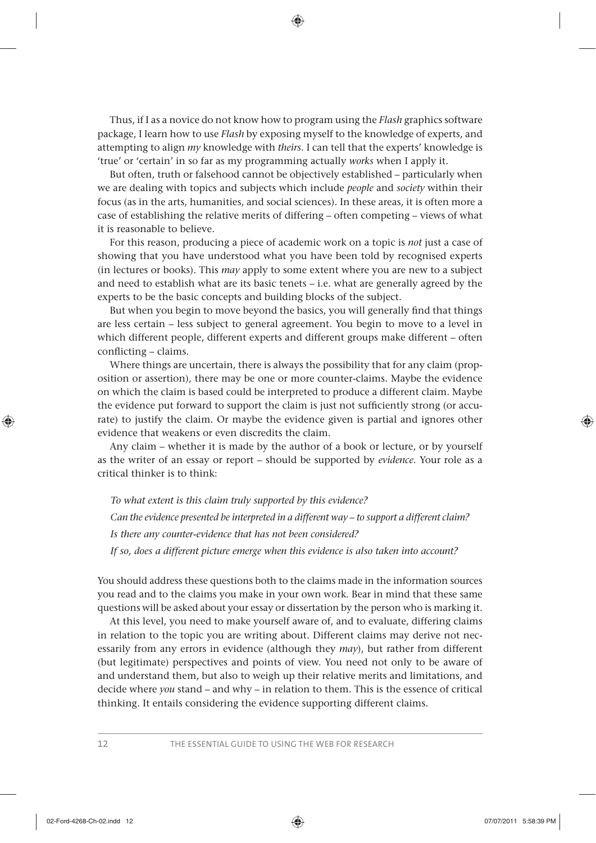Thus, if I as a novice do not know how to program using the *Flash* graphics software package, I learn how to use *Flash* by exposing myself to the knowledge of experts, and attempting to align *my* knowledge with *theirs*. I can tell that the experts' knowledge is 'true' or 'certain' in so far as my programming actually *works* when I apply it.

◈

But often, truth or falsehood cannot be objectively established – particularly when we are dealing with topics and subjects which include *people* and *society* within their focus (as in the arts, humanities, and social sciences). In these areas, it is often more a case of establishing the relative merits of differing – often competing – views of what it is reasonable to believe.

For this reason, producing a piece of academic work on a topic is *not* just a case of showing that you have understood what you have been told by recognised experts (in lectures or books). This *may* apply to some extent where you are new to a subject and need to establish what are its basic tenets – i.e. what are generally agreed by the experts to be the basic concepts and building blocks of the subject.

But when you begin to move beyond the basics, you will generally find that things are less certain – less subject to general agreement. You begin to move to a level in which different people, different experts and different groups make different – often conflicting – claims.

Where things are uncertain, there is always the possibility that for any claim (proposition or assertion), there may be one or more counter-claims. Maybe the evidence on which the claim is based could be interpreted to produce a different claim. Maybe the evidence put forward to support the claim is just not sufficiently strong (or accurate) to justify the claim. Or maybe the evidence given is partial and ignores other evidence that weakens or even discredits the claim.

Any claim – whether it is made by the author of a book or lecture, or by yourself as the writer of an essay or report – should be supported by *evidence*. Your role as a critical thinker is to think:

*To what extent is this claim truly supported by this evidence? Can the evidence presented be interpreted in a different way – to support a different claim? Is there any counter-evidence that has not been considered? If so, does a different picture emerge when this evidence is also taken into account?* 

You should address these questions both to the claims made in the information sources you read and to the claims you make in your own work. Bear in mind that these same questions will be asked about your essay or dissertation by the person who is marking it.

At this level, you need to make yourself aware of, and to evaluate, differing claims in relation to the topic you are writing about. Different claims may derive not necessarily from any errors in evidence (although they *may*), but rather from different (but legitimate) perspectives and points of view. You need not only to be aware of and understand them, but also to weigh up their relative merits and limitations, and decide where *you* stand – and why – in relation to them. This is the essence of critical thinking. It entails considering the evidence supporting different claims.

◈

12 THE ESSENTIAL GUIDE TO USING THE WEB FOR RESEARCH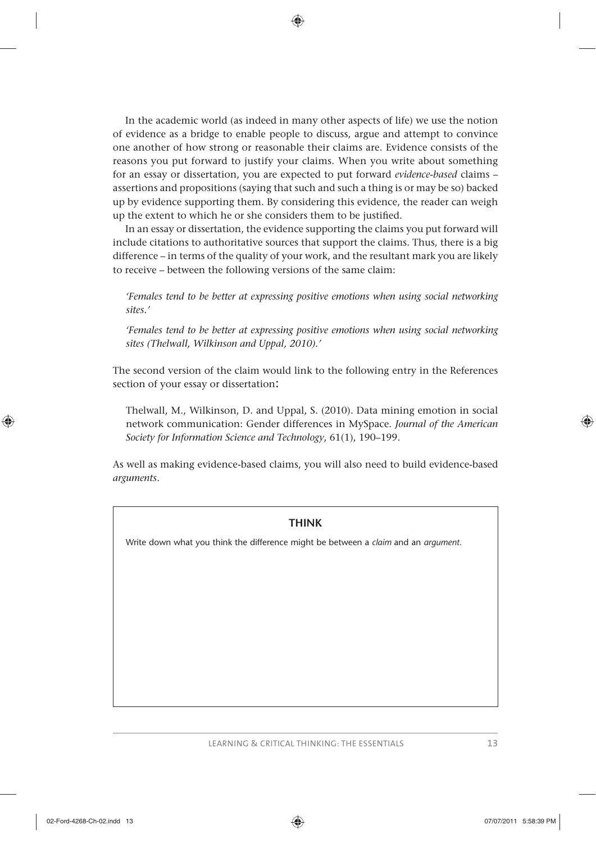In the academic world (as indeed in many other aspects of life) we use the notion of evidence as a bridge to enable people to discuss, argue and attempt to convince one another of how strong or reasonable their claims are. Evidence consists of the reasons you put forward to justify your claims. When you write about something for an essay or dissertation, you are expected to put forward *evidence-based* claims – assertions and propositions (saying that such and such a thing is or may be so) backed up by evidence supporting them. By considering this evidence, the reader can weigh up the extent to which he or she considers them to be justified.

◈

In an essay or dissertation, the evidence supporting the claims you put forward will include citations to authoritative sources that support the claims. Thus, there is a big difference – in terms of the quality of your work, and the resultant mark you are likely to receive – between the following versions of the same claim:

*'Females tend to be better at expressing positive emotions when using social networking sites.'* 

*'Females tend to be better at expressing positive emotions when using social networking sites (Thelwall, Wilkinson and Uppal, 2010).'* 

The second version of the claim would link to the following entry in the References section of your essay or dissertation:

Thelwall, M., Wilkinson, D. and Uppal, S. (2010). Data mining emotion in social network communication: Gender differences in MySpace. *Journal of the American Society for Information Science and Technology*, 61(1), 190–199.

As well as making evidence-based claims, you will also need to build evidence-based *arguments*.

#### **THINK**

Write down what you think the difference might be between a *claim* and an *argument.*

LEARNING & CRITICAL THINKING: THE ESSENTIALS 13

♠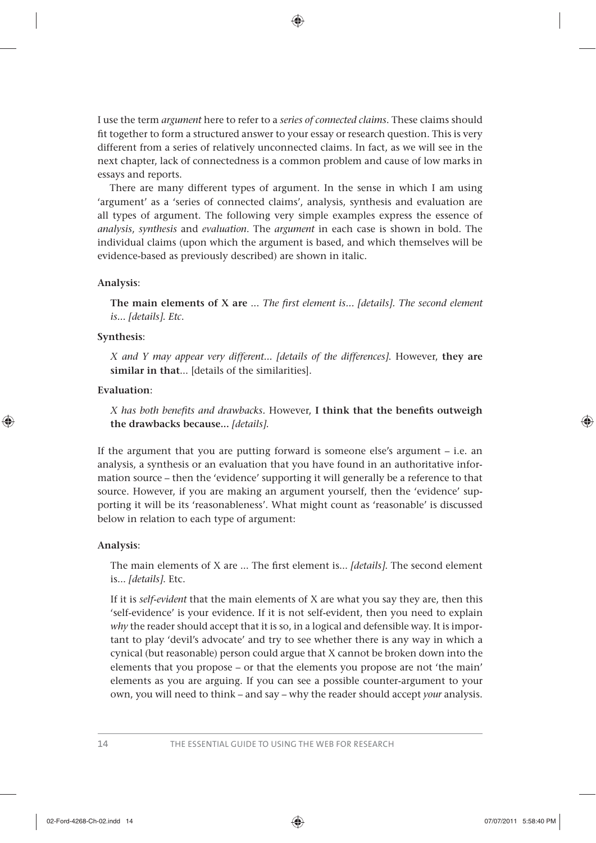I use the term *argument* here to refer to a *series of connected claims*. These claims should fit together to form a structured answer to your essay or research question. This is very different from a series of relatively unconnected claims. In fact, as we will see in the next chapter, lack of connectedness is a common problem and cause of low marks in essays and reports.

◈

There are many different types of argument. In the sense in which I am using 'argument' as a 'series of connected claims', analysis, synthesis and evaluation are all types of argument. The following very simple examples express the essence of *analysis*, *synthesis* and *evaluation*. The *argument* in each case is shown in bold. The individual claims (upon which the argument is based, and which themselves will be evidence-based as previously described) are shown in italic.

#### **Analysis**:

**The main elements of X are** ... *The first element is... [details]. The second element is... [details]. Etc*.

#### **Synthesis**:

*X and Y may appear very different... [details of the differences]*. However, **they are similar in that**... [details of the similarities].

#### **Evaluation**:

♠

*X has both benefits and drawbacks.* However, **I think that the benefits outweigh the drawbacks because...** *[details].*

If the argument that you are putting forward is someone else's argument – i.e. an analysis, a synthesis or an evaluation that you have found in an authoritative information source – then the 'evidence' supporting it will generally be a reference to that source. However, if you are making an argument yourself, then the 'evidence' supporting it will be its 'reasonableness'. What might count as 'reasonable' is discussed below in relation to each type of argument:

#### **Analysis**:

The main elements of X are ... The first element is... *[details]*. The second element is... *[details]*. Etc.

If it is *self-evident* that the main elements of X are what you say they are, then this 'self-evidence' is your evidence. If it is not self-evident, then you need to explain *why* the reader should accept that it is so, in a logical and defensible way. It is important to play 'devil's advocate' and try to see whether there is any way in which a cynical (but reasonable) person could argue that X cannot be broken down into the elements that you propose – or that the elements you propose are not 'the main' elements as you are arguing. If you can see a possible counter-argument to your own, you will need to think – and say – why the reader should accept *your* analysis.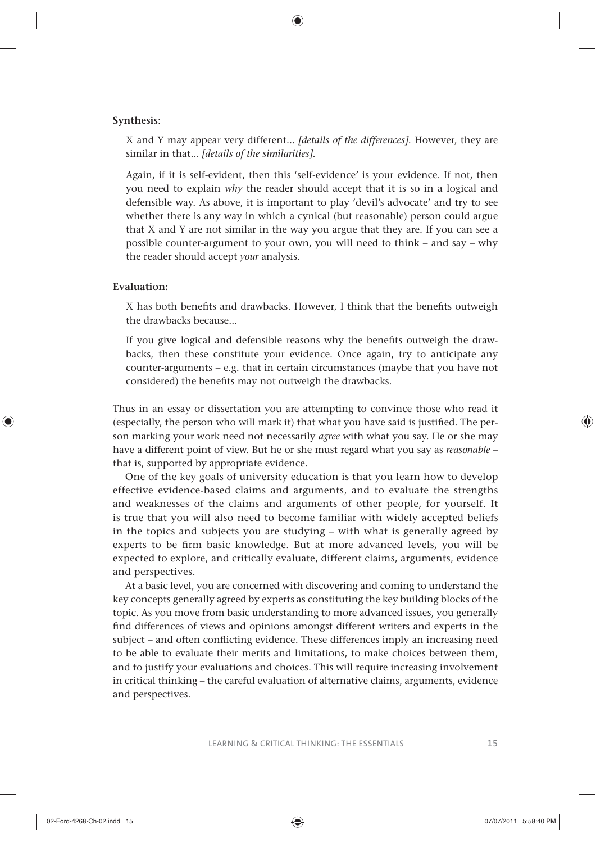#### **Synthesis**:

X and Y may appear very different... *[details of the differences]*. However, they are similar in that... *[details of the similarities]*.

Again, if it is self-evident, then this 'self-evidence' is your evidence. If not, then you need to explain *why* the reader should accept that it is so in a logical and defensible way. As above, it is important to play 'devil's advocate' and try to see whether there is any way in which a cynical (but reasonable) person could argue that X and Y are not similar in the way you argue that they are. If you can see a possible counter-argument to your own, you will need to think – and say – why the reader should accept *your* analysis.

#### **Evaluation:**

◈

X has both benefits and drawbacks. However, I think that the benefits outweigh the drawbacks because...

If you give logical and defensible reasons why the benefits outweigh the drawbacks, then these constitute your evidence. Once again, try to anticipate any counter-arguments – e.g. that in certain circumstances (maybe that you have not considered) the benefits may not outweigh the drawbacks.

Thus in an essay or dissertation you are attempting to convince those who read it (especially, the person who will mark it) that what you have said is justified. The person marking your work need not necessarily *agree* with what you say. He or she may have a different point of view. But he or she must regard what you say as *reasonable* – that is, supported by appropriate evidence.

One of the key goals of university education is that you learn how to develop effective evidence-based claims and arguments, and to evaluate the strengths and weaknesses of the claims and arguments of other people, for yourself. It is true that you will also need to become familiar with widely accepted beliefs in the topics and subjects you are studying – with what is generally agreed by experts to be firm basic knowledge. But at more advanced levels, you will be expected to explore, and critically evaluate, different claims, arguments, evidence and perspectives.

At a basic level, you are concerned with discovering and coming to understand the key concepts generally agreed by experts as constituting the key building blocks of the topic. As you move from basic understanding to more advanced issues, you generally find differences of views and opinions amongst different writers and experts in the subject – and often conflicting evidence. These differences imply an increasing need to be able to evaluate their merits and limitations, to make choices between them, and to justify your evaluations and choices. This will require increasing involvement in critical thinking – the careful evaluation of alternative claims, arguments, evidence and perspectives.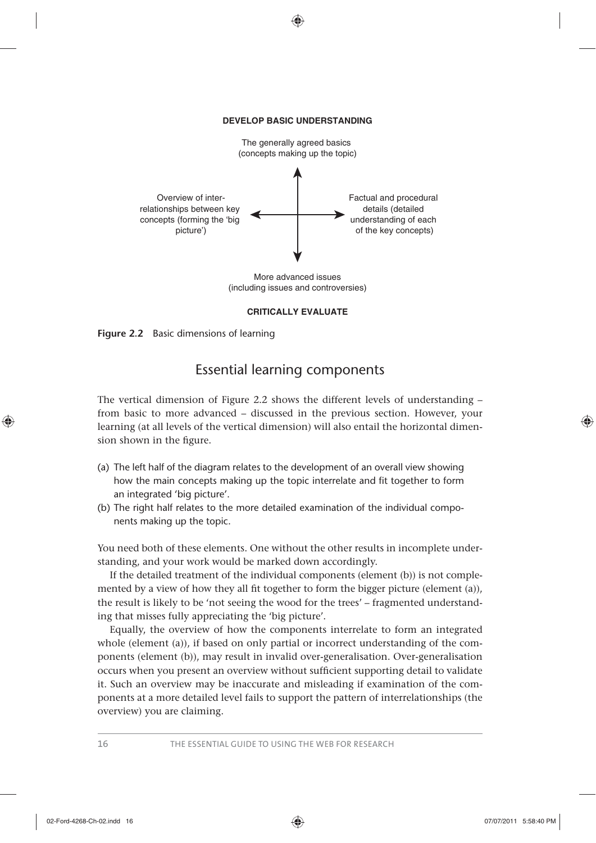

**CRITICALLY EVALUATE**



#### Essential learning components

The vertical dimension of Figure 2.2 shows the different levels of understanding – from basic to more advanced – discussed in the previous section. However, your learning (at all levels of the vertical dimension) will also entail the horizontal dimension shown in the figure.

- (a) The left half of the diagram relates to the development of an overall view showing how the main concepts making up the topic interrelate and fit together to form an integrated 'big picture'.
- (b) The right half relates to the more detailed examination of the individual components making up the topic.

You need both of these elements. One without the other results in incomplete understanding, and your work would be marked down accordingly.

If the detailed treatment of the individual components (element (b)) is not complemented by a view of how they all fit together to form the bigger picture (element (a)), the result is likely to be 'not seeing the wood for the trees' – fragmented understanding that misses fully appreciating the 'big picture'.

Equally, the overview of how the components interrelate to form an integrated whole (element (a)), if based on only partial or incorrect understanding of the components (element (b)), may result in invalid over-generalisation. Over-generalisation occurs when you present an overview without sufficient supporting detail to validate it. Such an overview may be inaccurate and misleading if examination of the components at a more detailed level fails to support the pattern of interrelationships (the overview) you are claiming.

◈

16 THE ESSENTIAL GUIDE TO USING THE WEB FOR RESEARCH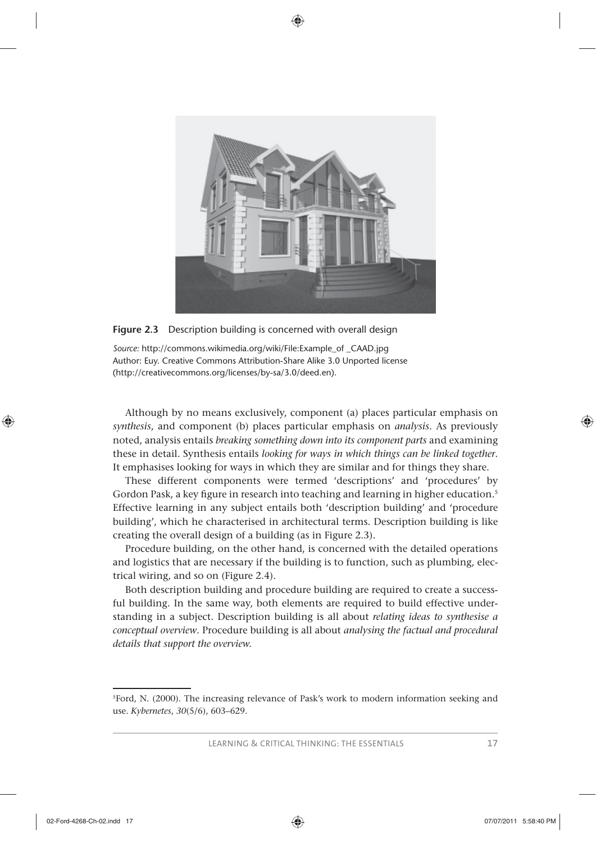

**Figure 2.3** Description building is concerned with overall design

*Source:* http://commons.wikimedia.org/wiki/File:Example\_of \_CAAD.jpg Author: Euy. Creative Commons Attribution-Share Alike 3.0 Unported license (http://creativecommons.org/licenses/by-sa/3.0/deed.en).

Although by no means exclusively, component (a) places particular emphasis on *synthesis*, and component (b) places particular emphasis on *analysis*. As previously noted, analysis entails *breaking something down into its component parts* and examining these in detail. Synthesis entails *looking for ways in which things can be linked together*. It emphasises looking for ways in which they are similar and for things they share.

These different components were termed 'descriptions' and 'procedures' by Gordon Pask, a key figure in research into teaching and learning in higher education.<sup>5</sup> Effective learning in any subject entails both 'description building' and 'procedure building', which he characterised in architectural terms. Description building is like creating the overall design of a building (as in Figure 2.3).

Procedure building, on the other hand, is concerned with the detailed operations and logistics that are necessary if the building is to function, such as plumbing, electrical wiring, and so on (Figure 2.4).

Both description building and procedure building are required to create a successful building. In the same way, both elements are required to build effective understanding in a subject. Description building is all about *relating ideas to synthesise a conceptual overview*. Procedure building is all about *analysing the factual and procedural details that support the overview.*

◈

<sup>5</sup>Ford, N. (2000). The increasing relevance of Pask's work to modern information seeking and use. *Kybernetes*, *30*(5/6), 603–629.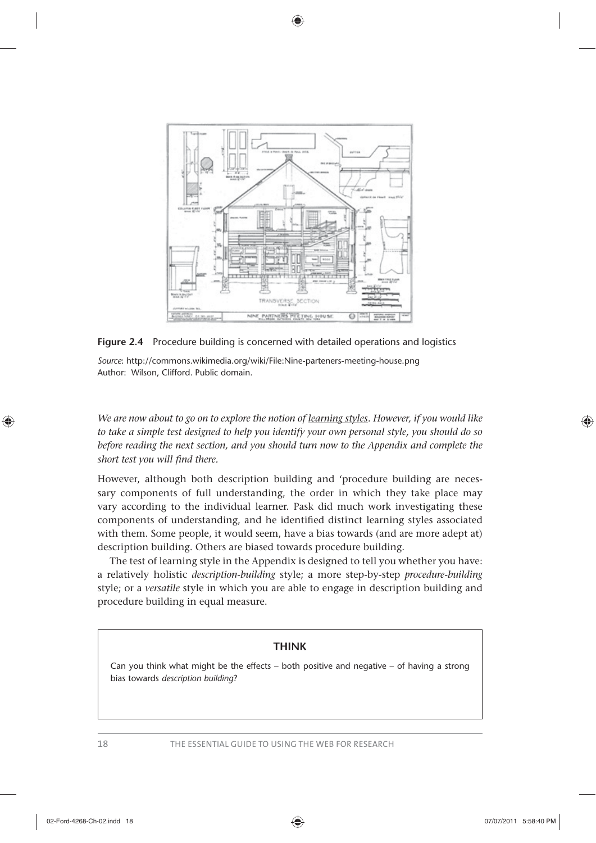

**Figure 2.4** Procedure building is concerned with detailed operations and logistics

*Source*: http://commons.wikimedia.org/wiki/File:Nine-parteners-meeting-house.png Author: Wilson, Clifford. Public domain.

*We are now about to go on to explore the notion of learning styles. However, if you would like to take a simple test designed to help you identify your own personal style, you should do so before reading the next section, and you should turn now to the Appendix and complete the short test you will find there.* 

However, although both description building and 'procedure building are necessary components of full understanding, the order in which they take place may vary according to the individual learner. Pask did much work investigating these components of understanding, and he identified distinct learning styles associated with them. Some people, it would seem, have a bias towards (and are more adept at) description building. Others are biased towards procedure building.

The test of learning style in the Appendix is designed to tell you whether you have: a relatively holistic *description-building* style; a more step-by-step *procedure-building* style; or a *versatile* style in which you are able to engage in description building and procedure building in equal measure.

#### **THINK**

Can you think what might be the effects – both positive and negative – of having a strong bias towards *description building*?

♠

18 THE ESSENTIAL GUIDE TO USING THE WEB FOR RESEARCH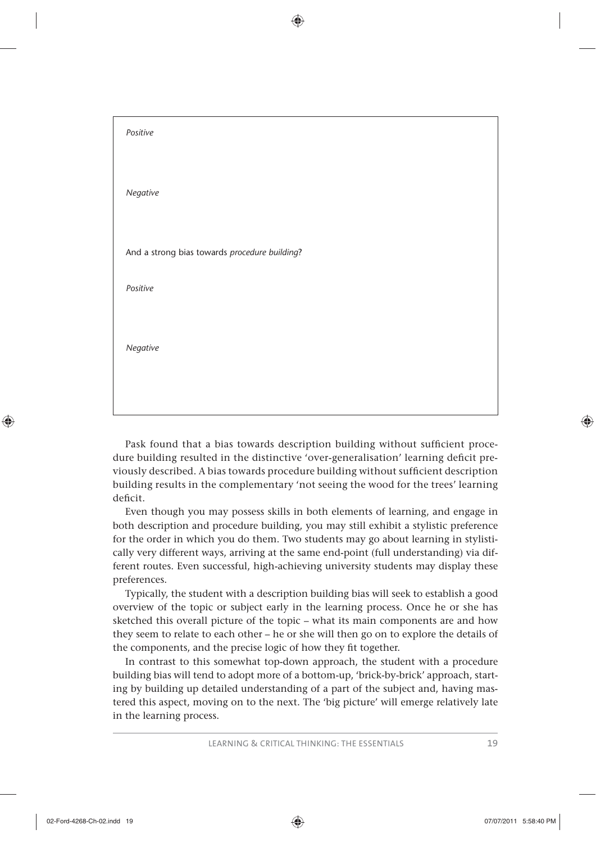| Positive                                      |  |
|-----------------------------------------------|--|
| Negative                                      |  |
| And a strong bias towards procedure building? |  |
| Positive                                      |  |
| Negative                                      |  |

Pask found that a bias towards description building without sufficient procedure building resulted in the distinctive 'over-generalisation' learning deficit previously described. A bias towards procedure building without sufficient description building results in the complementary 'not seeing the wood for the trees' learning deficit.

Even though you may possess skills in both elements of learning, and engage in both description and procedure building, you may still exhibit a stylistic preference for the order in which you do them. Two students may go about learning in stylistically very different ways, arriving at the same end-point (full understanding) via different routes. Even successful, high-achieving university students may display these preferences.

Typically, the student with a description building bias will seek to establish a good overview of the topic or subject early in the learning process. Once he or she has sketched this overall picture of the topic – what its main components are and how they seem to relate to each other – he or she will then go on to explore the details of the components, and the precise logic of how they fit together.

In contrast to this somewhat top-down approach, the student with a procedure building bias will tend to adopt more of a bottom-up, 'brick-by-brick' approach, starting by building up detailed understanding of a part of the subject and, having mastered this aspect, moving on to the next. The 'big picture' will emerge relatively late in the learning process.

♠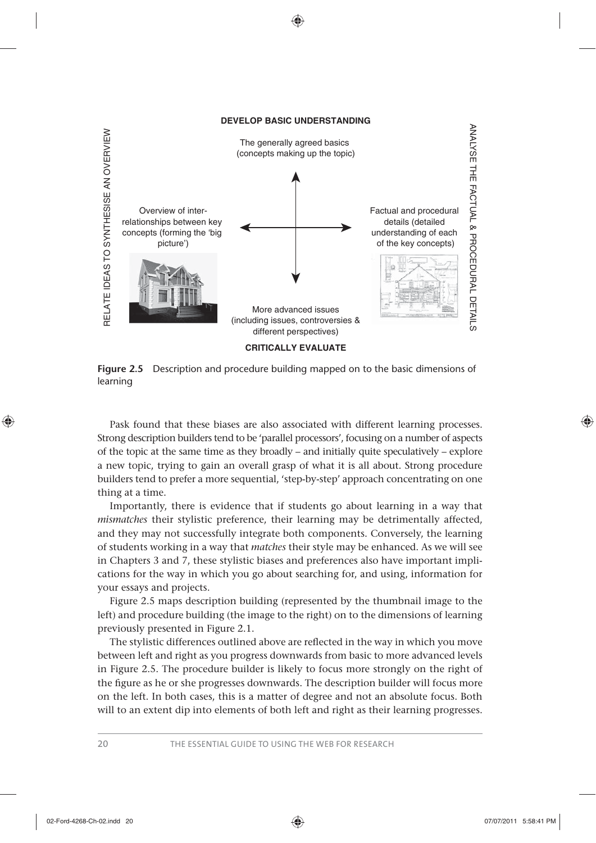

◈

**Figure 2.5** Description and procedure building mapped on to the basic dimensions of learning

Pask found that these biases are also associated with different learning processes. Strong description builders tend to be 'parallel processors', focusing on a number of aspects of the topic at the same time as they broadly – and initially quite speculatively – explore a new topic, trying to gain an overall grasp of what it is all about. Strong procedure builders tend to prefer a more sequential, 'step-by-step' approach concentrating on one thing at a time.

Importantly, there is evidence that if students go about learning in a way that *mismatches* their stylistic preference, their learning may be detrimentally affected, and they may not successfully integrate both components. Conversely, the learning of students working in a way that *matches* their style may be enhanced. As we will see in Chapters 3 and 7, these stylistic biases and preferences also have important implications for the way in which you go about searching for, and using, information for your essays and projects.

Figure 2.5 maps description building (represented by the thumbnail image to the left) and procedure building (the image to the right) on to the dimensions of learning previously presented in Figure 2.1.

The stylistic differences outlined above are reflected in the way in which you move between left and right as you progress downwards from basic to more advanced levels in Figure 2.5. The procedure builder is likely to focus more strongly on the right of the figure as he or she progresses downwards. The description builder will focus more on the left. In both cases, this is a matter of degree and not an absolute focus. Both will to an extent dip into elements of both left and right as their learning progresses.

◈